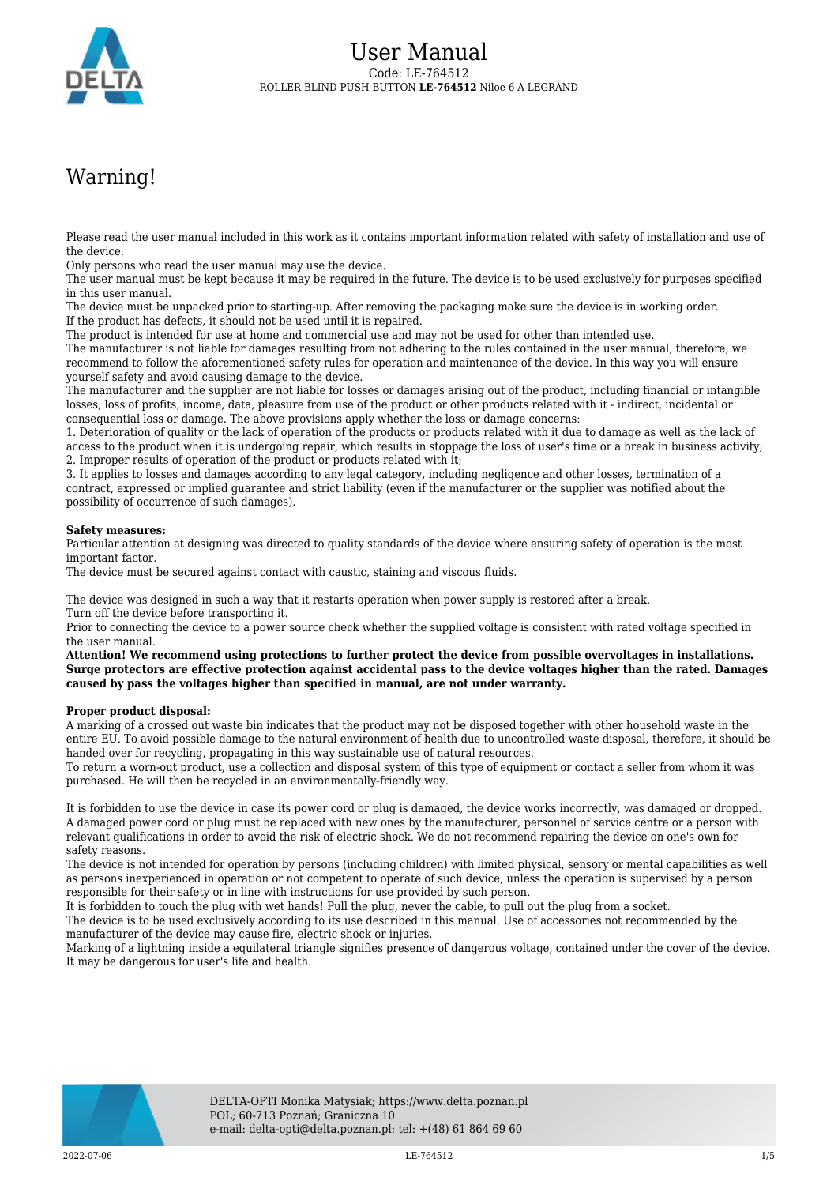

## Warning!

Please read the user manual included in this work as it contains important information related with safety of installation and use of the device.

Only persons who read the user manual may use the device.

The user manual must be kept because it may be required in the future. The device is to be used exclusively for purposes specified in this user manual.

The device must be unpacked prior to starting-up. After removing the packaging make sure the device is in working order. If the product has defects, it should not be used until it is repaired.

The product is intended for use at home and commercial use and may not be used for other than intended use.

The manufacturer is not liable for damages resulting from not adhering to the rules contained in the user manual, therefore, we recommend to follow the aforementioned safety rules for operation and maintenance of the device. In this way you will ensure yourself safety and avoid causing damage to the device.

The manufacturer and the supplier are not liable for losses or damages arising out of the product, including financial or intangible losses, loss of profits, income, data, pleasure from use of the product or other products related with it - indirect, incidental or consequential loss or damage. The above provisions apply whether the loss or damage concerns:

1. Deterioration of quality or the lack of operation of the products or products related with it due to damage as well as the lack of access to the product when it is undergoing repair, which results in stoppage the loss of user's time or a break in business activity; 2. Improper results of operation of the product or products related with it;

3. It applies to losses and damages according to any legal category, including negligence and other losses, termination of a contract, expressed or implied guarantee and strict liability (even if the manufacturer or the supplier was notified about the possibility of occurrence of such damages).

## **Safety measures:**

Particular attention at designing was directed to quality standards of the device where ensuring safety of operation is the most important factor.

The device must be secured against contact with caustic, staining and viscous fluids.

The device was designed in such a way that it restarts operation when power supply is restored after a break. Turn off the device before transporting it.

Prior to connecting the device to a power source check whether the supplied voltage is consistent with rated voltage specified in the user manual.

**Attention! We recommend using protections to further protect the device from possible overvoltages in installations. Surge protectors are effective protection against accidental pass to the device voltages higher than the rated. Damages caused by pass the voltages higher than specified in manual, are not under warranty.**

## **Proper product disposal:**

A marking of a crossed out waste bin indicates that the product may not be disposed together with other household waste in the entire EU. To avoid possible damage to the natural environment of health due to uncontrolled waste disposal, therefore, it should be handed over for recycling, propagating in this way sustainable use of natural resources.

To return a worn-out product, use a collection and disposal system of this type of equipment or contact a seller from whom it was purchased. He will then be recycled in an environmentally-friendly way.

It is forbidden to use the device in case its power cord or plug is damaged, the device works incorrectly, was damaged or dropped. A damaged power cord or plug must be replaced with new ones by the manufacturer, personnel of service centre or a person with relevant qualifications in order to avoid the risk of electric shock. We do not recommend repairing the device on one's own for safety reasons.

The device is not intended for operation by persons (including children) with limited physical, sensory or mental capabilities as well as persons inexperienced in operation or not competent to operate of such device, unless the operation is supervised by a person responsible for their safety or in line with instructions for use provided by such person.

It is forbidden to touch the plug with wet hands! Pull the plug, never the cable, to pull out the plug from a socket.

The device is to be used exclusively according to its use described in this manual. Use of accessories not recommended by the manufacturer of the device may cause fire, electric shock or injuries.

Marking of a lightning inside a equilateral triangle signifies presence of dangerous voltage, contained under the cover of the device. It may be dangerous for user's life and health.

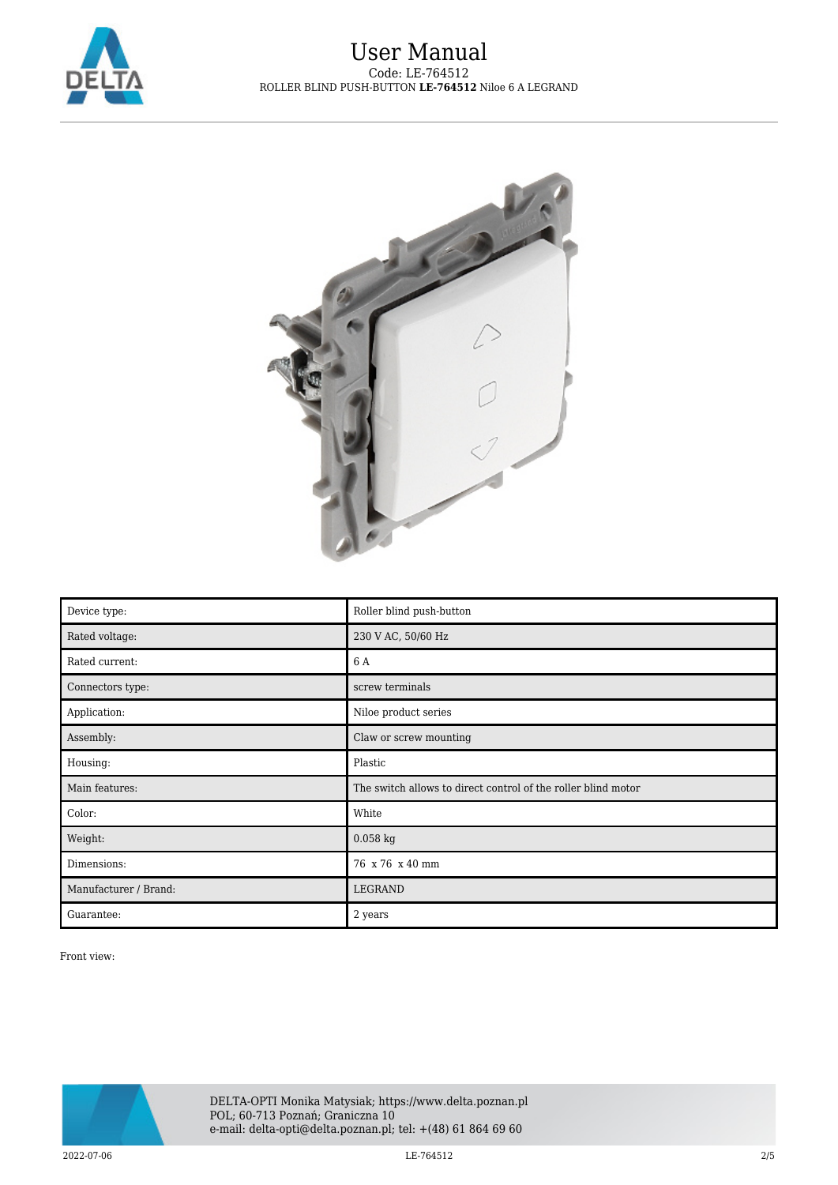



| Device type:          | Roller blind push-button                                      |
|-----------------------|---------------------------------------------------------------|
| Rated voltage:        | 230 V AC, 50/60 Hz                                            |
| Rated current:        | 6 A                                                           |
| Connectors type:      | screw terminals                                               |
| Application:          | Niloe product series                                          |
| Assembly:             | Claw or screw mounting                                        |
| Housing:              | Plastic                                                       |
| Main features:        | The switch allows to direct control of the roller blind motor |
| Color:                | White                                                         |
| Weight:               | $0.058$ kg                                                    |
| Dimensions:           | 76 x 76 x 40 mm                                               |
| Manufacturer / Brand: | <b>LEGRAND</b>                                                |
| Guarantee:            | 2 years                                                       |

Front view:

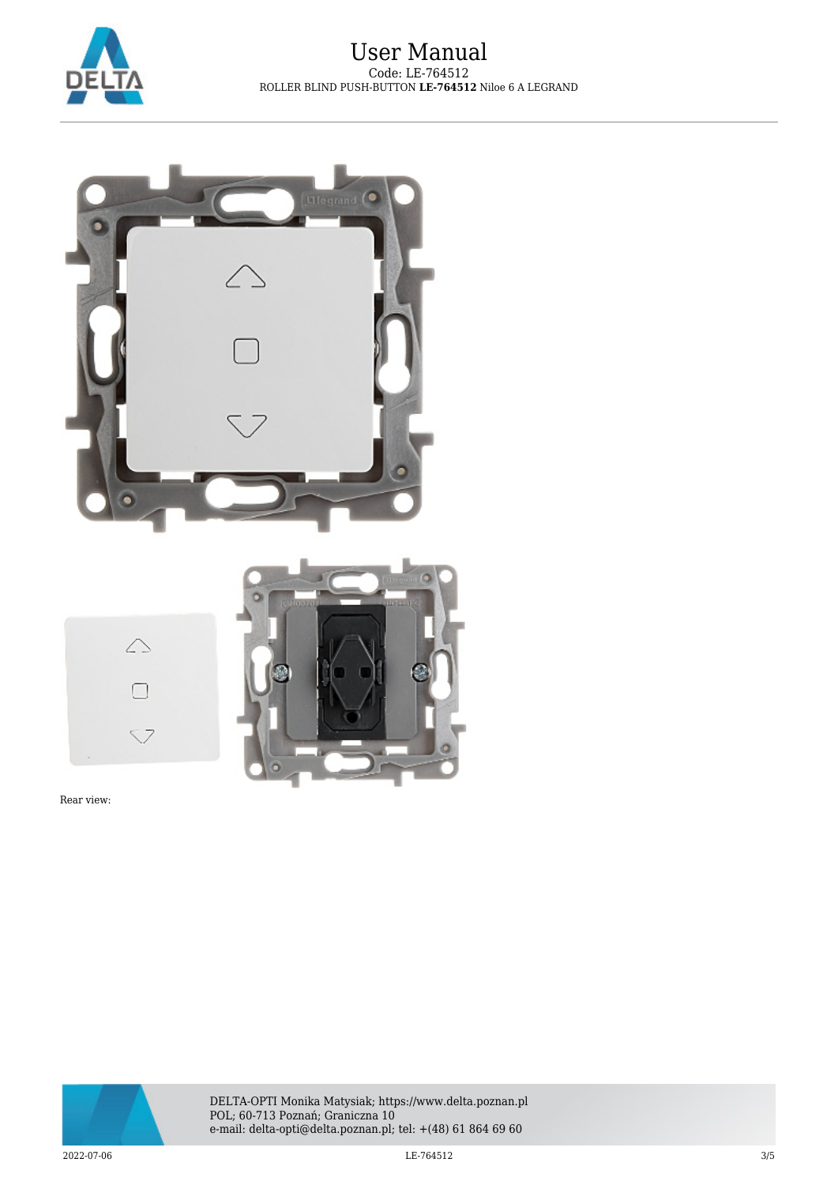



Rear view:



DELTA-OPTI Monika Matysiak; https://www.delta.poznan.pl POL; 60-713 Poznań; Graniczna 10 e-mail: delta-opti@delta.poznan.pl; tel: +(48) 61 864 69 60

 $\rm LE\text{-}764512$   $\rm LE\text{-}764512$   $\rm3/5$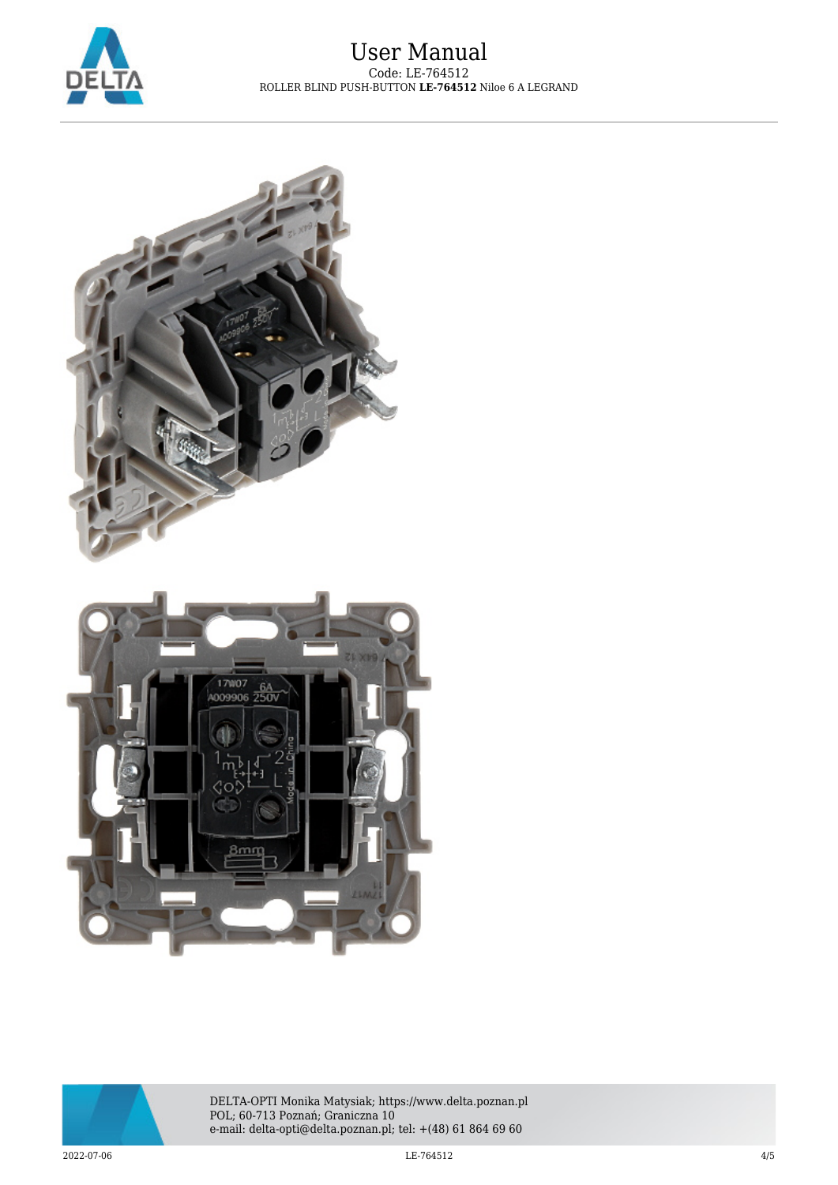





DELTA-OPTI Monika Matysiak; https://www.delta.poznan.pl POL; 60-713 Poznań; Graniczna 10 e-mail: delta-opti@delta.poznan.pl; tel: +(48) 61 864 69 60

 $2022$ -07-06  $10\frac{1}{2}$  and  $4/5$